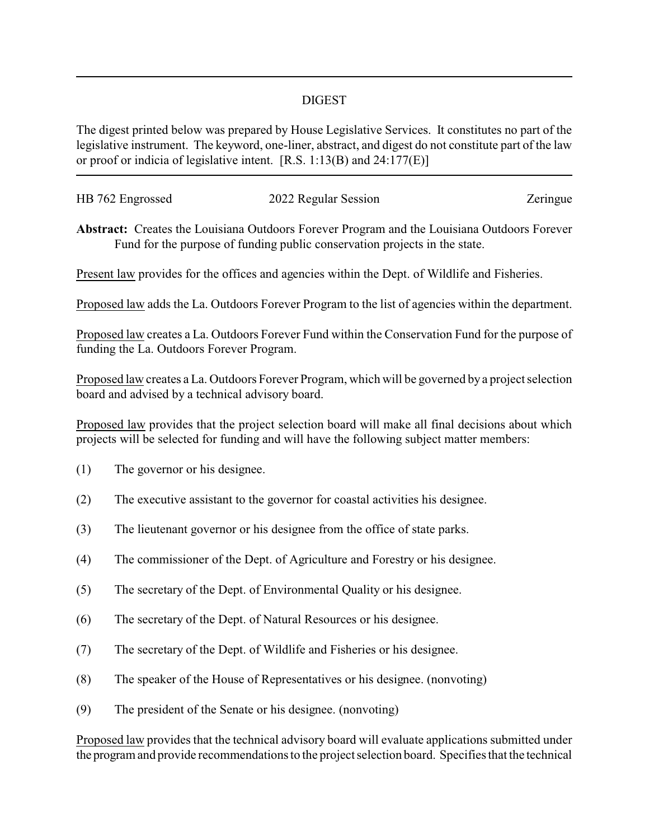## DIGEST

The digest printed below was prepared by House Legislative Services. It constitutes no part of the legislative instrument. The keyword, one-liner, abstract, and digest do not constitute part of the law or proof or indicia of legislative intent. [R.S. 1:13(B) and 24:177(E)]

| HB 762 Engrossed | 2022 Regular Session | Zeringue |
|------------------|----------------------|----------|
|                  |                      |          |

**Abstract:** Creates the Louisiana Outdoors Forever Program and the Louisiana Outdoors Forever Fund for the purpose of funding public conservation projects in the state.

Present law provides for the offices and agencies within the Dept. of Wildlife and Fisheries.

Proposed law adds the La. Outdoors Forever Program to the list of agencies within the department.

Proposed law creates a La. Outdoors Forever Fund within the Conservation Fund for the purpose of funding the La. Outdoors Forever Program.

Proposed law creates a La. Outdoors Forever Program, which will be governed by a project selection board and advised by a technical advisory board.

Proposed law provides that the project selection board will make all final decisions about which projects will be selected for funding and will have the following subject matter members:

- (1) The governor or his designee.
- (2) The executive assistant to the governor for coastal activities his designee.
- (3) The lieutenant governor or his designee from the office of state parks.
- (4) The commissioner of the Dept. of Agriculture and Forestry or his designee.
- (5) The secretary of the Dept. of Environmental Quality or his designee.
- (6) The secretary of the Dept. of Natural Resources or his designee.
- (7) The secretary of the Dept. of Wildlife and Fisheries or his designee.
- (8) The speaker of the House of Representatives or his designee. (nonvoting)
- (9) The president of the Senate or his designee. (nonvoting)

Proposed law provides that the technical advisory board will evaluate applications submitted under the program and provide recommendations to the project selection board. Specifies that the technical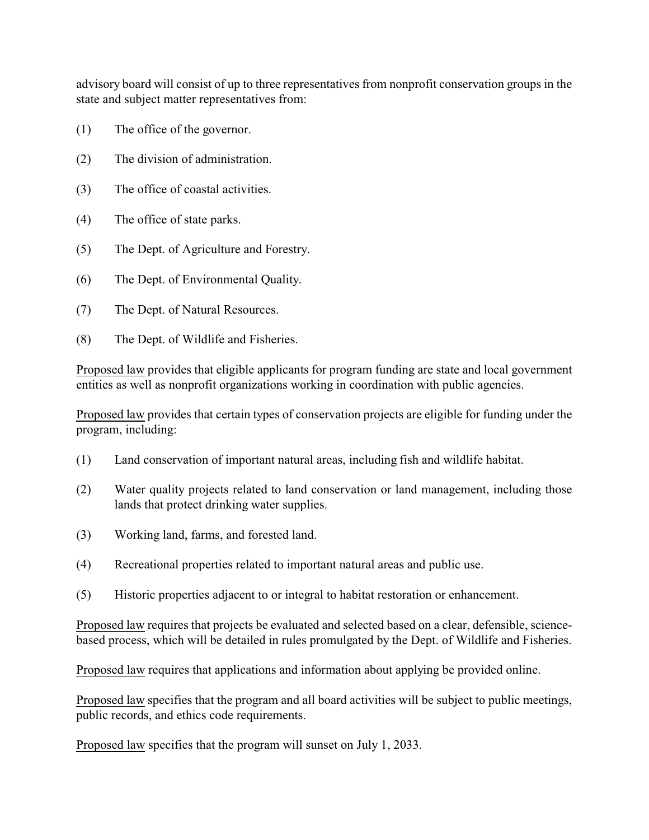advisory board will consist of up to three representatives from nonprofit conservation groups in the state and subject matter representatives from:

- (1) The office of the governor.
- (2) The division of administration.
- (3) The office of coastal activities.
- (4) The office of state parks.
- (5) The Dept. of Agriculture and Forestry.
- (6) The Dept. of Environmental Quality.
- (7) The Dept. of Natural Resources.
- (8) The Dept. of Wildlife and Fisheries.

Proposed law provides that eligible applicants for program funding are state and local government entities as well as nonprofit organizations working in coordination with public agencies.

Proposed law provides that certain types of conservation projects are eligible for funding under the program, including:

- (1) Land conservation of important natural areas, including fish and wildlife habitat.
- (2) Water quality projects related to land conservation or land management, including those lands that protect drinking water supplies.
- (3) Working land, farms, and forested land.
- (4) Recreational properties related to important natural areas and public use.
- (5) Historic properties adjacent to or integral to habitat restoration or enhancement.

Proposed law requires that projects be evaluated and selected based on a clear, defensible, sciencebased process, which will be detailed in rules promulgated by the Dept. of Wildlife and Fisheries.

Proposed law requires that applications and information about applying be provided online.

Proposed law specifies that the program and all board activities will be subject to public meetings, public records, and ethics code requirements.

Proposed law specifies that the program will sunset on July 1, 2033.